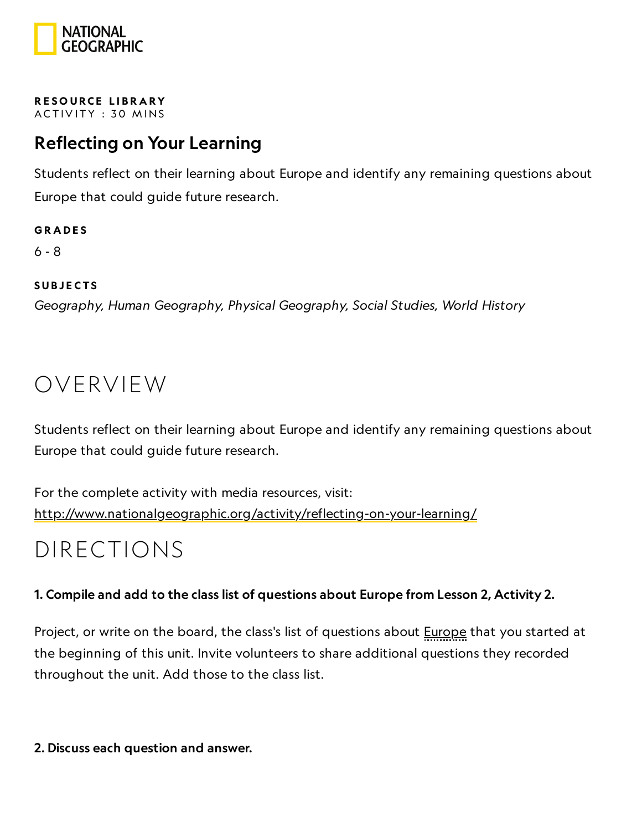

RESOURCE LIBRA[RY](https://www.nationalgeographic.org/education/resource-library/) ACTIVITY: 30 MINS

### Reflecting on Your Learning

Students reflect on their learning about Europe and identify any remaining questions about Europe that could guide future research.

**GRADES** 6 - 8

**SUBJECTS** Geography, Human Geography, Physical Geography, Social Studies, World History

### OVERVIEW

Students reflect on their learning about Europe and identify any remaining questions about Europe that could guide future research.

For the complete activity with media resources, visit: <http://www.nationalgeographic.org/activity/reflecting-on-your-learning/>

### DIRECTIONS

#### 1. Compile and add to the class list of questions about Europe from Lesson 2, Activity 2.

Project, or write on the board, the class's list of questions about **Europe** that you started at the beginning of this unit. Invite volunteers to share additional questions they recorded throughout the unit. Add those to the class list.

2. Discuss each question and answer.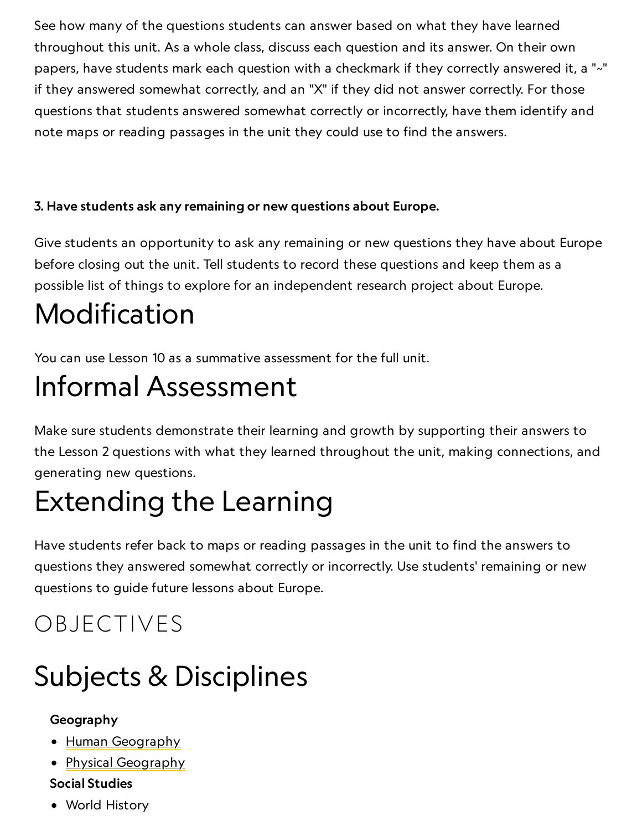See how many of the questions students can answer based on what they have learned throughout this unit. As a whole class, discuss each question and its answer. On their own papers, have students mark each question with a checkmark if they correctly answered it, a "~" if they answered somewhat correctly, and an "X" if they did not answer correctly. For those questions that students answered somewhat correctly or incorrectly, have them identify and note maps or reading passages in the unit they could use to find the answers.

### 3. Have students ask any remaining or new questions about Europe.

Give students an opportunity to ask any remaining or new questions they have about Europe before closing out the unit. Tell students to record these questions and keep them as a possible list of things to explore for an independent research project about Europe.

# Modification

You can use Lesson 10 as a summative assessment for the full unit.

# Informal Assessment

Make sure students demonstrate their learning and growth by supporting their answers to the Lesson 2 questions with what they learned throughout the unit, making connections, and generating new questions.

# Extending the Learning

Have students refer back to maps or reading passages in the unit to find the answers to questions they answered somewhat correctly or incorrectly. Use students' remaining or new questions to guide future lessons about Europe.

## OBJECTIVES

# Subjects & Disciplines

### Geography

- Human [Geography](https://www.nationalgeographic.org/encyclopedia/geography/)
- Physical [Geography](http://education.nationalgeographic.com/education/encyclopedia/geography/?ar_a=1)

### Social Studies

World History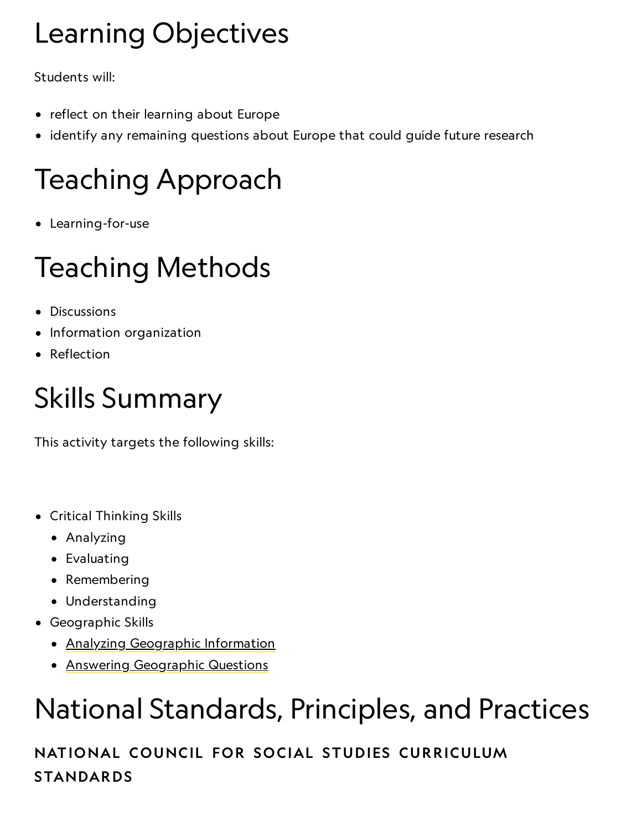# Learning Objectives

Students will:

- reflect on their learning about Europe
- identify any remaining questions about Europe that could guide future research

# Teaching Approach

Learning-for-use

# Teaching Methods

- Discussions
- Information organization
- Reflection

# Skills Summary

This activity targets the following skills:

- Critical Thinking Skills
	- Analyzing
	- Evaluating
	- Remembering
	- Understanding
- Geographic Skills
	- Analyzing [Geographic](http://education.nationalgeographic.com/education/geographic-skills/4/?ar_a=1) Information
	- Answering [Geographic](http://education.nationalgeographic.com/education/geographic-skills/5/?ar_a=1) Questions

# National Standards, Principles, and Practices

NATIONAL COUNCIL FOR SOCIAL STUDIES CURRICULUM STANDARDS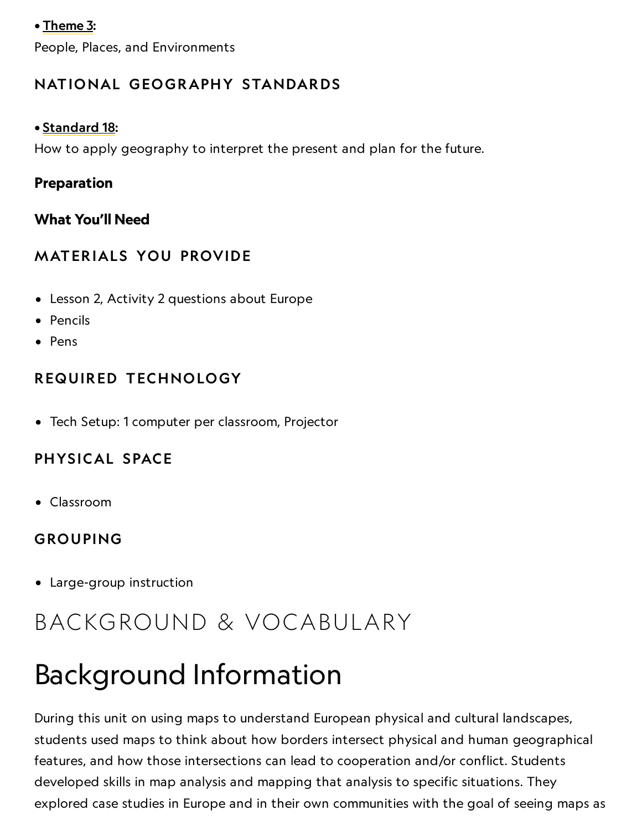#### • [Theme](http://www.socialstudies.org/standards/strands#III) 3:

People, Places, and Environments

### NATIONAL GEOGRAPHY STANDARDS

#### • [Standard](https://www.nationalgeographic.org/education/standards/national-geography-standards/18/) 18:

How to apply geography to interpret the present and plan for the future.

#### Preparation

#### What You'll Need

### **MATERIALS YOU PROVIDE**

- Lesson 2, Activity 2 questions about Europe
- Pencils
- Pens

### REQUIRED TECHNOLOGY

Tech Setup: 1 computer per classroom, Projector

### PHYSICAL SPACE

Classroom

### GROUPING

Large-group instruction

## BACKGROUND & VOCABULARY

# Background Information

During this unit on using maps to understand European physical and cultural landscapes, students used maps to think about how borders intersect physical and human geographical features, and how those intersections can lead to cooperation and/or conflict. Students developed skills in map analysis and mapping that analysis to specific situations. They explored case studies in Europe and in their own communities with the goal of seeing maps as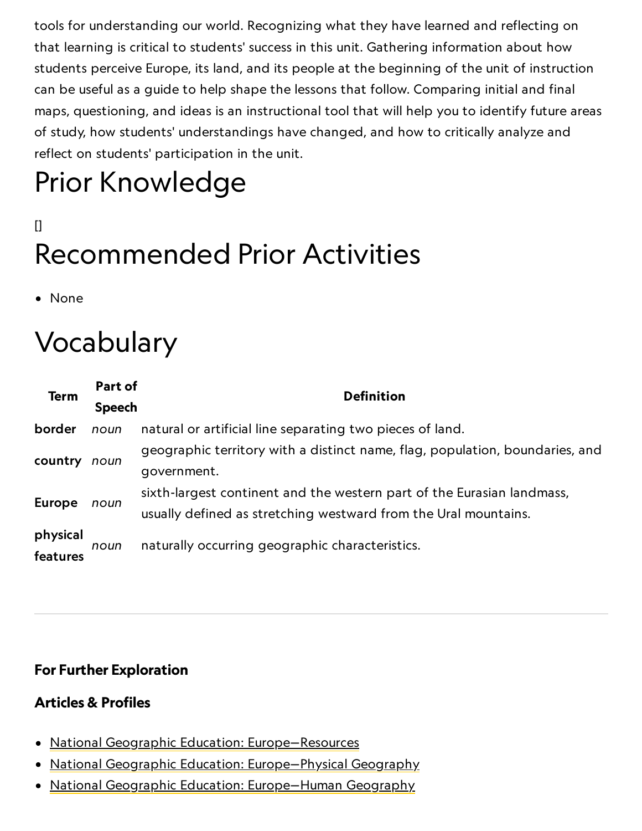tools for understanding our world. Recognizing what they have learned and reflecting on that learning is critical to students' success in this unit. Gathering information about how students perceive Europe, its land, and its people at the beginning of the unit of instruction can be useful as a guide to help shape the lessons that follow. Comparing initial and final maps, questioning, and ideas is an instructional tool that will help you to identify future areas of study, how students' understandings have changed, and how to critically analyze and reflect on students' participation in the unit.

# Prior Knowledge

## $\mathsf{I}$ Recommended Prior Activities

• None

# Vocabulary

| <b>Term</b>   | Part of       | <b>Definition</b>                                                            |
|---------------|---------------|------------------------------------------------------------------------------|
|               | <b>Speech</b> |                                                                              |
| border        | noun          | natural or artificial line separating two pieces of land.                    |
| country       | noun          | geographic territory with a distinct name, flag, population, boundaries, and |
|               |               | government.                                                                  |
| <b>Europe</b> | noun          | sixth-largest continent and the western part of the Eurasian landmass,       |
|               |               | usually defined as stretching westward from the Ural mountains.              |
| physical      | noun          | naturally occurring geographic characteristics.                              |
| features      |               |                                                                              |

### For Further Exploration

#### Articles & Profiles

- National Geographic [Education: Europe—Resources](https://www.nationalgeographic.org/encyclopedia/europe-resources/)
- National Geographic Education: Europe-Physical Geography
- National Geographic [Education: Europe—Human](https://www.nationalgeographic.org/encyclopedia/europe-human-geography/) Geography